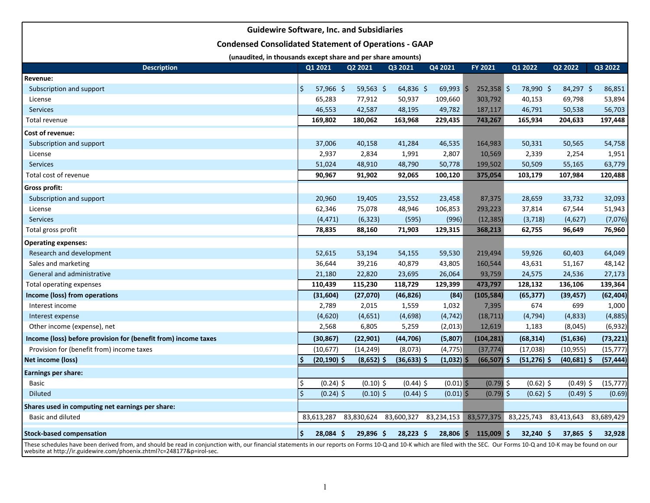| <b>Guidewire Software, Inc. and Subsidiaries</b>                                                                                                                                                                         |         |                |              |                       |              |                |                |               |            |  |  |  |
|--------------------------------------------------------------------------------------------------------------------------------------------------------------------------------------------------------------------------|---------|----------------|--------------|-----------------------|--------------|----------------|----------------|---------------|------------|--|--|--|
| <b>Condensed Consolidated Statement of Operations - GAAP</b>                                                                                                                                                             |         |                |              |                       |              |                |                |               |            |  |  |  |
| (unaudited, in thousands except share and per share amounts)                                                                                                                                                             |         |                |              |                       |              |                |                |               |            |  |  |  |
| <b>Description</b>                                                                                                                                                                                                       |         | Q1 2021        | Q2 2021      | Q3 2021               | Q4 2021      | FY 2021        | Q1 2022        | Q2 2022       | Q3 2022    |  |  |  |
| Revenue:                                                                                                                                                                                                                 |         |                |              |                       |              |                |                |               |            |  |  |  |
| Subscription and support                                                                                                                                                                                                 | ۱\$     | $57,966$ \$    | $59,563$ \$  | $64,836$ \$           | $69,993$ \$  | $252,358$ \$   | 78,990 \$      | $84,297$ \$   | 86,851     |  |  |  |
| License                                                                                                                                                                                                                  |         | 65,283         | 77,912       | 50,937                | 109,660      | 303,792        | 40,153         | 69,798        | 53,894     |  |  |  |
| <b>Services</b>                                                                                                                                                                                                          |         | 46,553         | 42,587       | 48,195                | 49,782       | 187,117        | 46,791         | 50,538        | 56,703     |  |  |  |
| Total revenue                                                                                                                                                                                                            |         | 169,802        | 180,062      | 163,968               | 229,435      | 743,267        | 165,934        | 204,633       | 197,448    |  |  |  |
| Cost of revenue:                                                                                                                                                                                                         |         |                |              |                       |              |                |                |               |            |  |  |  |
| Subscription and support                                                                                                                                                                                                 |         | 37,006         | 40,158       | 41,284                | 46,535       | 164,983        | 50,331         | 50,565        | 54,758     |  |  |  |
| License                                                                                                                                                                                                                  |         | 2,937          | 2,834        | 1,991                 | 2,807        | 10,569         | 2,339          | 2,254         | 1,951      |  |  |  |
| <b>Services</b>                                                                                                                                                                                                          |         | 51,024         | 48,910       | 48,790                | 50,778       | 199,502        | 50,509         | 55,165        | 63,779     |  |  |  |
| Total cost of revenue                                                                                                                                                                                                    |         | 90,967         | 91,902       | 92,065                | 100,120      | 375,054        | 103,179        | 107,984       | 120,488    |  |  |  |
| <b>Gross profit:</b>                                                                                                                                                                                                     |         |                |              |                       |              |                |                |               |            |  |  |  |
| Subscription and support                                                                                                                                                                                                 |         | 20,960         | 19,405       | 23,552                | 23,458       | 87,375         | 28,659         | 33,732        | 32,093     |  |  |  |
| License                                                                                                                                                                                                                  |         | 62,346         | 75,078       | 48,946                | 106,853      | 293,223        | 37,814         | 67,544        | 51,943     |  |  |  |
| <b>Services</b>                                                                                                                                                                                                          |         | (4, 471)       | (6, 323)     | (595)                 | (996)        | (12, 385)      | (3, 718)       | (4,627)       | (7,076)    |  |  |  |
| Total gross profit                                                                                                                                                                                                       |         | 78,835         | 88,160       | 71,903                | 129,315      | 368,213        | 62,755         | 96,649        | 76,960     |  |  |  |
| <b>Operating expenses:</b>                                                                                                                                                                                               |         |                |              |                       |              |                |                |               |            |  |  |  |
| Research and development                                                                                                                                                                                                 |         | 52,615         | 53,194       | 54,155                | 59,530       | 219,494        | 59,926         | 60,403        | 64,049     |  |  |  |
| Sales and marketing                                                                                                                                                                                                      |         | 36,644         | 39,216       | 40,879                | 43,805       | 160,544        | 43,631         | 51,167        | 48,142     |  |  |  |
| General and administrative                                                                                                                                                                                               |         | 21,180         | 22,820       | 23,695                | 26,064       | 93,759         | 24,575         | 24,536        | 27,173     |  |  |  |
| <b>Total operating expenses</b>                                                                                                                                                                                          |         | 110,439        | 115,230      | 118,729               | 129,399      | 473,797        | 128,132        | 136,106       | 139,364    |  |  |  |
| Income (loss) from operations                                                                                                                                                                                            |         | (31, 604)      | (27,070)     | (46, 826)             | (84)         | (105, 584)     | (65, 377)      | (39, 457)     | (62, 404)  |  |  |  |
| Interest income                                                                                                                                                                                                          |         | 2,789          | 2,015        | 1,559                 | 1,032        | 7,395          | 674            | 699           | 1,000      |  |  |  |
| Interest expense                                                                                                                                                                                                         |         | (4,620)        | (4,651)      | (4,698)               | (4, 742)     | (18, 711)      | (4, 794)       | (4, 833)      | (4,885)    |  |  |  |
| Other income (expense), net                                                                                                                                                                                              |         | 2,568          | 6,805        | 5,259                 | (2,013)      | 12,619         | 1,183          | (8,045)       | (6,932)    |  |  |  |
| Income (loss) before provision for (benefit from) income taxes                                                                                                                                                           |         | (30, 867)      | (22, 901)    | (44, 706)             | (5,807)      | (104, 281)     | (68, 314)      | (51, 636)     | (73,221)   |  |  |  |
| Provision for (benefit from) income taxes                                                                                                                                                                                |         | (10, 677)      | (14, 249)    | (8,073)               | (4, 775)     | (37, 774)      | (17, 038)      | (10, 955)     | (15, 777)  |  |  |  |
| Net income (loss)                                                                                                                                                                                                        | Ś       | $(20, 190)$ \$ | $(8,652)$ \$ | $(36, 633)$ \$        | $(1,032)$ \$ | $(66, 507)$ \$ | $(51, 276)$ \$ | $(40,681)$ \$ | (57, 444)  |  |  |  |
| Earnings per share:                                                                                                                                                                                                      |         |                |              |                       |              |                |                |               |            |  |  |  |
| <b>Basic</b>                                                                                                                                                                                                             | \$      | $(0.24)$ \$    | $(0.10)$ \$  | $(0.44)$ \$           | $(0.01)$ \$  | $(0.79)$ \$    | $(0.62)$ \$    | $(0.49)$ \$   | (15, 777)  |  |  |  |
| <b>Diluted</b>                                                                                                                                                                                                           | $\zeta$ | $(0.24)$ \$    | $(0.10)$ \$  | $(0.44)$ \$           | $(0.01)$ \$  | $(0.79)$ \$    | $(0.62)$ \$    | $(0.49)$ \$   | (0.69)     |  |  |  |
| Shares used in computing net earnings per share:                                                                                                                                                                         |         |                |              |                       |              |                |                |               |            |  |  |  |
| Basic and diluted                                                                                                                                                                                                        |         | 83,613,287     | 83,830,624   | 83,600,327 83,234,153 |              | 83,577,375     | 83,225,743     | 83,413,643    | 83,689,429 |  |  |  |
| <b>Stock-based compensation</b>                                                                                                                                                                                          | \$      | 28,084 \$      | 29,896 \$    | $28,223$ \$           | $28,806$ \$  | $115,009$ \$   | $32,240$ \$    | 37,865 \$     | 32,928     |  |  |  |
| These schedules have been derived from, and should be read in conjunction with, our financial statements in our reports on Forms 10-Q and 10-K which are filed with the SEC. Our Forms 10-Q and 10-K may be found on our |         |                |              |                       |              |                |                |               |            |  |  |  |

website at http://ir.guidewire.com/phoenix.zhtml?c=248177&p=irol-sec.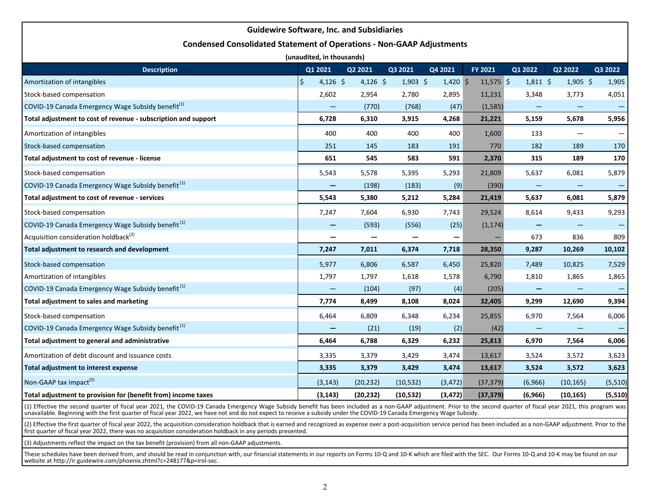## **Guidewire Software, Inc. and Subsidiaries**

## **Condensed Consolidated Statement of Operations - Non-GAAP Adjustments**

| (unaudited, in thousands)                                      |                   |           |            |            |             |                   |                   |         |  |  |  |  |
|----------------------------------------------------------------|-------------------|-----------|------------|------------|-------------|-------------------|-------------------|---------|--|--|--|--|
| <b>Description</b>                                             | Q1 2021           | Q2 2021   | Q3 2021    | Q4 2021    | FY 2021     | Q1 2022           | Q2 2022           | Q3 2022 |  |  |  |  |
| Amortization of intangibles                                    | \$<br>$4,126$ \$  | 4,126 \$  | $1,903$ \$ | $1,420$ \$ | $11,575$ \$ | $1,811$ \$        | $1,905$ \$        | 1,905   |  |  |  |  |
| Stock-based compensation                                       | 2,602             | 2,954     | 2,780      | 2,895      | 11,231      | 3,348             | 3,773             | 4,051   |  |  |  |  |
| COVID-19 Canada Emergency Wage Subsidy benefit <sup>(1)</sup>  | $\qquad \qquad -$ | (770)     | (768)      | (47)       | (1, 585)    |                   |                   |         |  |  |  |  |
| Total adjustment to cost of revenue - subscription and support | 6,728             | 6,310     | 3,915      | 4,268      | 21,221      | 5,159             | 5,678             | 5,956   |  |  |  |  |
| Amortization of intangibles                                    | 400               | 400       | 400        | 400        | 1,600       | 133               |                   |         |  |  |  |  |
| Stock-based compensation                                       | 251               | 145       | 183        | 191        | 770         | 182               | 189               | 170     |  |  |  |  |
| Total adjustment to cost of revenue - license                  | 651               | 545       | 583        | 591        | 2,370       | 315               | 189               | 170     |  |  |  |  |
| Stock-based compensation                                       | 5,543             | 5,578     | 5,395      | 5,293      | 21,809      | 5,637             | 6,081             | 5,879   |  |  |  |  |
| COVID-19 Canada Emergency Wage Subsidy benefit <sup>(1)</sup>  | —                 | (198)     | (183)      | (9)        | (390)       |                   | $\qquad \qquad -$ |         |  |  |  |  |
| Total adjustment to cost of revenue - services                 | 5,543             | 5,380     | 5,212      | 5,284      | 21,419      | 5,637             | 6,081             | 5,879   |  |  |  |  |
| Stock-based compensation                                       | 7,247             | 7,604     | 6,930      | 7,743      | 29,524      | 8,614             | 9,433             | 9,293   |  |  |  |  |
| COVID-19 Canada Emergency Wage Subsidy benefit <sup>(1)</sup>  | —                 | (593)     | (556)      | (25)       | (1, 174)    |                   |                   |         |  |  |  |  |
| Acquisition consideration holdback <sup>(2)</sup>              | —                 |           |            | —          |             | 673               | 836               | 809     |  |  |  |  |
| Total adjustment to research and development                   | 7,247             | 7,011     | 6,374      | 7,718      | 28,350      | 9,287             | 10,269            | 10,102  |  |  |  |  |
| Stock-based compensation                                       | 5,977             | 6,806     | 6,587      | 6,450      | 25,820      | 7,489             | 10,825            | 7,529   |  |  |  |  |
| Amortization of intangibles                                    | 1,797             | 1,797     | 1,618      | 1,578      | 6,790       | 1,810             | 1,865             | 1,865   |  |  |  |  |
| COVID-19 Canada Emergency Wage Subsidy benefit <sup>(1)</sup>  | —                 | (104)     | (97)       | (4)        | (205)       |                   |                   |         |  |  |  |  |
| Total adjustment to sales and marketing                        | 7,774             | 8,499     | 8,108      | 8,024      | 32,405      | 9,299             | 12,690            | 9,394   |  |  |  |  |
| Stock-based compensation                                       | 6,464             | 6,809     | 6,348      | 6,234      | 25,855      | 6,970             | 7,564             | 6,006   |  |  |  |  |
| COVID-19 Canada Emergency Wage Subsidy benefit <sup>(1)</sup>  | —                 | (21)      | (19)       | (2)        | (42)        | $\qquad \qquad -$ |                   |         |  |  |  |  |
| Total adjustment to general and administrative                 | 6,464             | 6,788     | 6,329      | 6,232      | 25,813      | 6,970             | 7,564             | 6,006   |  |  |  |  |
| Amortization of debt discount and issuance costs               | 3,335             | 3,379     | 3,429      | 3,474      | 13,617      | 3,524             | 3,572             | 3,623   |  |  |  |  |
| Total adjustment to interest expense                           | 3,335             | 3,379     | 3,429      | 3,474      | 13,617      | 3,524             | 3,572             | 3,623   |  |  |  |  |
| Non-GAAP tax impact <sup>(3)</sup>                             | (3, 143)          | (20, 232) | (10, 532)  | (3, 472)   | (37, 379)   | (6,966)           | (10, 165)         | (5,510) |  |  |  |  |
| Total adjustment to provision for (benefit from) income taxes  | (3, 143)          | (20, 232) | (10, 532)  | (3, 472)   | (37, 379)   | (6,966)           | (10, 165)         | (5,510) |  |  |  |  |

(1) Effective the second quarter of fiscal year 2021, the COVID-19 Canada Emergency Wage Subsidy benefit has been included as a non-GAAP adjustment. Prior to the second quarter of fiscal year 2021, this program was unavailable. Beginning with the first quarter of fiscal year 2022, we have not and do not expect to receive a subsidy under the COVID-19 Canada Emergency Wage Subsidy.

(2) Effective the first quarter of fiscal year 2022, the acquisition consideration holdback that is earned and recognized as expense over a post-acquisition service period has been included as a non-GAAP adjustment. Prior first quarter of fiscal year 2022, there was no acquisition consideration holdback in any periods presented.

(3) Adjustments reflect the impact on the tax benefit (provision) from all non-GAAP adjustments.

These schedules have been derived from, and should be read in conjunction with, our financial statements in our reports on Forms 10-Q and 10-K which are filed with the SEC. Our Forms 10-Q and 10-K may be found on our website at http://ir.guidewire.com/phoenix.zhtml?c=248177&p=irol-sec.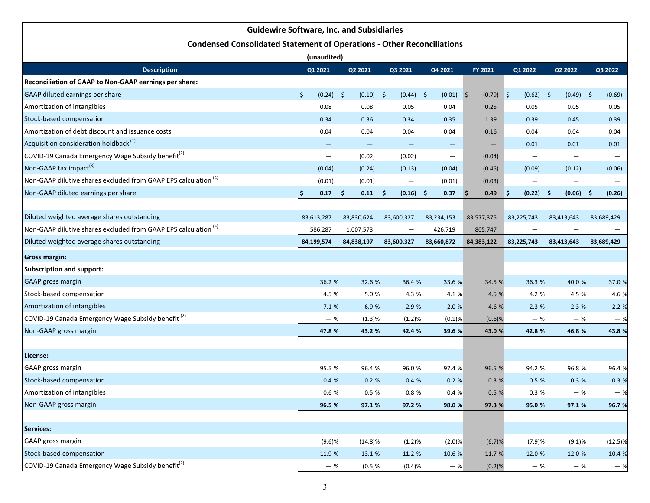|                                                                               | <b>Guidewire Software, Inc. and Subsidiaries</b> |             |                                |                          |                                         |                   |                    |            |
|-------------------------------------------------------------------------------|--------------------------------------------------|-------------|--------------------------------|--------------------------|-----------------------------------------|-------------------|--------------------|------------|
| <b>Condensed Consolidated Statement of Operations - Other Reconciliations</b> |                                                  |             |                                |                          |                                         |                   |                    |            |
|                                                                               | (unaudited)                                      |             |                                |                          |                                         |                   |                    |            |
| <b>Description</b>                                                            | Q1 2021                                          | Q2 2021     | Q3 2021                        | Q4 2021                  | FY 2021                                 | Q1 2022           | Q2 2022            | Q3 2022    |
| Reconciliation of GAAP to Non-GAAP earnings per share:                        |                                                  |             |                                |                          |                                         |                   |                    |            |
| GAAP diluted earnings per share                                               | $(0.24)$ \$<br>Ŝ                                 | $(0.10)$ \$ | $(0.44)$ \$                    | (0.01)                   | $(0.79)$ \$<br>$\vert \mathsf{S} \vert$ | $(0.62)$ \$       | $(0.49)$ \$        | (0.69)     |
| Amortization of intangibles                                                   | 0.08                                             | 0.08        | 0.05                           | 0.04                     | 0.25                                    | 0.05              | 0.05               | 0.05       |
| Stock-based compensation                                                      | 0.34                                             | 0.36        | 0.34                           | 0.35                     | 1.39                                    | 0.39              | 0.45               | 0.39       |
| Amortization of debt discount and issuance costs                              | 0.04                                             | 0.04        | 0.04                           | 0.04                     | 0.16                                    | 0.04              | 0.04               | 0.04       |
| Acquisition consideration holdback <sup>(1)</sup>                             |                                                  |             |                                | $\qquad \qquad -$        | $\qquad \qquad -$                       | 0.01              | 0.01               | 0.01       |
| COVID-19 Canada Emergency Wage Subsidy benefit <sup>(2)</sup>                 | $\overline{\phantom{m}}$                         | (0.02)      | (0.02)                         | $\overline{\phantom{m}}$ | (0.04)                                  | $\qquad \qquad -$ |                    |            |
| Non-GAAP tax impact <sup>(3)</sup>                                            | (0.04)                                           | (0.24)      | (0.13)                         | (0.04)                   | (0.45)                                  | (0.09)            | (0.12)             | (0.06)     |
| Non-GAAP dilutive shares excluded from GAAP EPS calculation <sup>(4)</sup>    | (0.01)                                           | (0.01)      | $\qquad \qquad -$              | (0.01)                   | (0.03)                                  | $\qquad \qquad -$ |                    |            |
| Non-GAAP diluted earnings per share                                           | Ś<br>0.17                                        | -\$<br>0.11 | $(0.16)$ \$<br>-\$             | 0.37                     | -\$<br>0.49                             | (0.22)<br>\$      | -\$<br>$(0.06)$ \$ | (0.26)     |
|                                                                               |                                                  |             |                                |                          |                                         |                   |                    |            |
| Diluted weighted average shares outstanding                                   | 83,613,287                                       | 83,830,624  | 83,600,327                     | 83,234,153               | 83,577,375                              | 83,225,743        | 83,413,643         | 83,689,429 |
| Non-GAAP dilutive shares excluded from GAAP EPS calculation <sup>(4)</sup>    | 586,287                                          | 1,007,573   | $\qquad \qquad \longleftarrow$ | 426,719                  | 805,747                                 |                   |                    |            |
| Diluted weighted average shares outstanding                                   | 84,199,574                                       | 84,838,197  | 83,600,327                     | 83,660,872               | 84,383,122                              | 83,225,743        | 83,413,643         | 83,689,429 |
| <b>Gross margin:</b>                                                          |                                                  |             |                                |                          |                                         |                   |                    |            |
| <b>Subscription and support:</b>                                              |                                                  |             |                                |                          |                                         |                   |                    |            |
| <b>GAAP</b> gross margin                                                      | 36.2 %                                           | 32.6 %      | 36.4 %                         | 33.6 %                   | 34.5 %                                  | 36.3 %            | 40.0 %             | 37.0 %     |
| Stock-based compensation                                                      | 4.5 %                                            | 5.0 %       | 4.3 %                          | 4.1 %                    | 4.5 %                                   | 4.2 %             | 4.5 %              | 4.6 %      |
| Amortization of intangibles                                                   | 7.1 %                                            | 6.9 %       | 2.9 %                          | 2.0%                     | 4.6 %                                   | 2.3%              | 2.3%               | 2.2%       |
| COVID-19 Canada Emergency Wage Subsidy benefit <sup>(2)</sup>                 | $-$ %                                            | (1.3)%      | (1.2)%                         | (0.1)%                   | $(0.6)$ %                               | $-$ %             | $-$ %              | $-$ %      |
| Non-GAAP gross margin                                                         | 47.8 %                                           | 43.2 %      | 42.4 %                         | 39.6 %                   | 43.0 %                                  | 42.8%             | 46.8 %             | 43.8 %     |
|                                                                               |                                                  |             |                                |                          |                                         |                   |                    |            |
| License:                                                                      |                                                  |             |                                |                          |                                         |                   |                    |            |
| GAAP gross margin                                                             | 95.5 %                                           | 96.4 %      | 96.0 %                         | 97.4 %                   | 96.5 %                                  | 94.2 %            | 96.8 %             | 96.4 %     |
| Stock-based compensation                                                      | 0.4%                                             | 0.2%        | 0.4%                           | 0.2%                     | 0.3%                                    | 0.5%              | 0.3%               | 0.3%       |
| Amortization of intangibles                                                   | $0.6~\%$                                         | 0.5 %       | $0.8\ \%$                      | 0.4%                     | 0.5 %                                   | $0.3~\%$          | $-$ %              | $-$ %      |
| Non-GAAP gross margin                                                         | 96.5 %                                           | 97.1 %      | 97.2 %                         | 98.0 %                   | 97.3 %                                  | 95.0 %            | 97.1 %             | 96.7 %     |
|                                                                               |                                                  |             |                                |                          |                                         |                   |                    |            |
| Services:                                                                     |                                                  |             |                                |                          |                                         |                   |                    |            |
| GAAP gross margin                                                             | (9.6)%                                           | $(14.8)\%$  | (1.2)%                         | (2.0)%                   | (6.7)%                                  | (7.9)%            | (9.1)%             | (12.5)%    |
| Stock-based compensation                                                      | 11.9 %                                           | 13.1 %      | 11.2 %                         | 10.6 %                   | 11.7 %                                  | 12.0 %            | 12.0 %             | 10.4 %     |
| COVID-19 Canada Emergency Wage Subsidy benefit <sup>(2)</sup>                 | $-$ %                                            | (0.5)%      | (0.4)%                         | $-$ %                    | (0.2)%                                  | $-$ %             | $-$ %              | $-$ %      |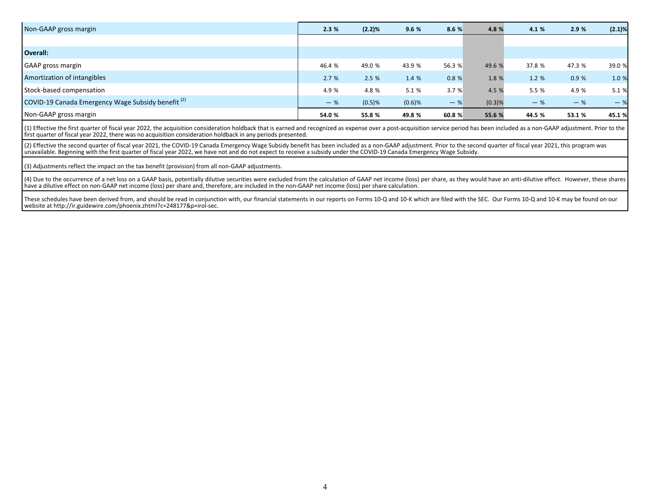| Non-GAAP gross margin                                         | 2.3%   | (2.2)%    | 9.6 %     | 8.6%   | 4.8%   | 4.1 %  | 2.9%   | $(2.1)\%$ |
|---------------------------------------------------------------|--------|-----------|-----------|--------|--------|--------|--------|-----------|
|                                                               |        |           |           |        |        |        |        |           |
| Overall:                                                      |        |           |           |        |        |        |        |           |
| GAAP gross margin                                             | 46.4 % | 49.0 %    | 43.9%     | 56.3 % | 49.6 % | 37.8 % | 47.3 % | 39.0 %    |
| Amortization of intangibles                                   | 2.7%   | 2.5%      | 1.4 %     | 0.8%   | 1.8 %  | 1.2%   | 0.9%   | 1.0 %     |
| Stock-based compensation                                      | 4.9 %  | 4.8 %     | 5.1 %     | 3.7%   | 4.5 %  | 5.5 %  | 4.9 %  | 5.1 %     |
| COVID-19 Canada Emergency Wage Subsidy benefit <sup>(2)</sup> | $-$ %  | $(0.5)$ % | $(0.6)$ % | $-$ %  | (0.3)% | $-$ %  | $-$ %  | $-$ %     |
| Non-GAAP gross margin                                         | 54.0 % | 55.8 %    | 49.8 %    | 60.8 % | 55.6 % | 44.5 % | 53.1 % | 45.1 %    |

(1) Effective the first quarter of fiscal year 2022, the acquisition consideration holdback that is earned and recognized as expense over a post-acquisition service period has been included as a non-GAAP adjustment. Prior first quarter of fiscal year 2022, there was no acquisition consideration holdback in any periods presented.

(2) Effective the second quarter of fiscal year 2021, the COVID-19 Canada Emergency Wage Subsidy benefit has been included as a non-GAAP adjustment. Prior to the second quarter of fiscal year 2021, this program was unavailable. Beginning with the first quarter of fiscal year 2022, we have not and do not expect to receive a subsidy under the COVID-19 Canada Emergency Wage Subsidy.

(3) Adjustments reflect the impact on the tax benefit (provision) from all non-GAAP adjustments.

(4) Due to the occurrence of a net loss on a GAAP basis, potentially dilutive securities were excluded from the calculation of GAAP net income (loss) per share, as they would have an anti-dilutive effect. However, these sh have a dilutive effect on non-GAAP net income (loss) per share and, therefore, are included in the non-GAAP net income (loss) per share calculation.

These schedules have been derived from, and should be read in conjunction with, our financial statements in our reports on Forms 10-Q and 10-K which are filed with the SEC. Our Forms 10-Q and 10-K may be found on our website at http://ir.guidewire.com/phoenix.zhtml?c=248177&p=irol-sec.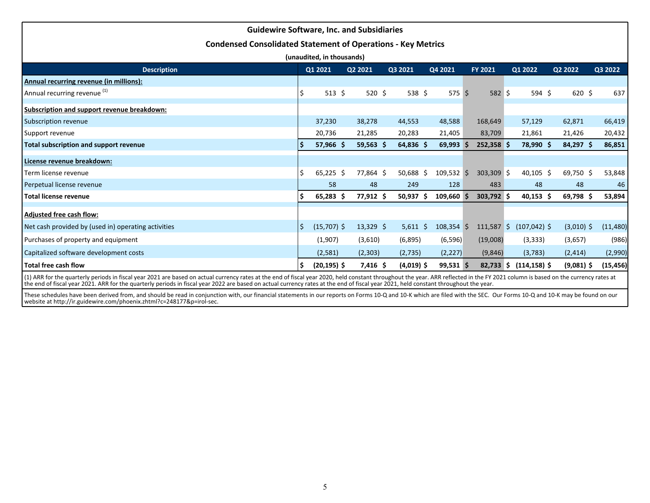| <b>Guidewire Software, Inc. and Subsidiaries</b>                    |     |                |             |  |              |              |  |                |  |                 |  |              |           |         |
|---------------------------------------------------------------------|-----|----------------|-------------|--|--------------|--------------|--|----------------|--|-----------------|--|--------------|-----------|---------|
| <b>Condensed Consolidated Statement of Operations - Key Metrics</b> |     |                |             |  |              |              |  |                |  |                 |  |              |           |         |
| (unaudited, in thousands)                                           |     |                |             |  |              |              |  |                |  |                 |  |              |           |         |
| <b>Description</b>                                                  |     | Q1 2021        | Q2 2021     |  | Q3 2021      | Q4 2021      |  | <b>FY 2021</b> |  | Q1 2022         |  | Q2 2022      | Q3 2022   |         |
| Annual recurring revenue (in millions):                             |     |                |             |  |              |              |  |                |  |                 |  |              |           |         |
| Annual recurring revenue <sup>(1)</sup>                             |     | 513 \$         | 520 \$      |  | 538 \$       | 575S         |  | 582 \$         |  | 594 \$          |  | $620$ \$     |           | 637     |
| Subscription and support revenue breakdown:                         |     |                |             |  |              |              |  |                |  |                 |  |              |           |         |
| Subscription revenue                                                |     | 37,230         | 38,278      |  | 44,553       | 48,588       |  | 168,649        |  | 57,129          |  | 62,871       | 66,419    |         |
| Support revenue                                                     |     | 20,736         | 21,285      |  | 20,283       | 21,405       |  | 83,709         |  | 21,861          |  | 21,426       | 20,432    |         |
| Total subscription and support revenue                              |     | $57,966$ \$    | $59,563$ \$ |  | $64,836$ \$  | 69,993       |  | $252,358$ \$   |  | 78,990 \$       |  | 84,297 \$    | 86,851    |         |
| License revenue breakdown:                                          |     |                |             |  |              |              |  |                |  |                 |  |              |           |         |
| Term license revenue                                                | I\$ | $65,225$ \$    | 77,864 \$   |  | 50,688 \$    | 109,532 \$   |  | $303,309$ \$   |  | $40,105$ \$     |  | 69,750 \$    | 53,848    |         |
| Perpetual license revenue                                           |     | 58             | 48          |  | 249          | 128          |  | 483            |  | 48              |  | 48           |           | 46      |
| l Total license revenue                                             |     | $65,283$ \$    | 77,912 \$   |  | $50,937$ \$  | $109,660$ \$ |  | 303,792 \$     |  | $40,153$ \$     |  | 69,798\$     | 53,894    |         |
| Adjusted free cash flow:                                            |     |                |             |  |              |              |  |                |  |                 |  |              |           |         |
| Net cash provided by (used in) operating activities                 | \$  | $(15,707)$ \$  | $13,329$ \$ |  | $5,611$ \$   | $108,354$ \$ |  | $111,587$ \$   |  | $(107, 042)$ \$ |  | $(3,010)$ \$ | (11, 480) |         |
| Purchases of property and equipment                                 |     | (1,907)        | (3,610)     |  | (6,895)      | (6, 596)     |  | (19,008)       |  | (3, 333)        |  | (3,657)      |           | (986)   |
| Capitalized software development costs                              |     | (2,581)        | (2,303)     |  | (2,735)      | (2, 227)     |  | (9,846)        |  | (3,783)         |  | (2, 414)     |           | (2,990) |
| l Total free cash flow                                              |     | $(20, 195)$ \$ | 7,416\$     |  | $(4,019)$ \$ | $99,531$ \$  |  | $82,733$ \$    |  | $(114, 158)$ \$ |  | $(9,081)$ \$ | (15,456)  |         |

(1) ARR for the quarterly periods in fiscal year 2021 are based on actual currency rates at the end of fiscal year 2020, held constant throughout the year. ARR reflected in the FY 2021 column is based on the currency rates the end of fiscal year 2021. ARR for the quarterly periods in fiscal year 2022 are based on actual currency rates at the end of fiscal year 2021, held constant throughout the year.

These schedules have been derived from, and should be read in conjunction with, our financial statements in our reports on Forms 10-Q and 10-K which are filed with the SEC. Our Forms 10-Q and 10-K may be found on our<br>websi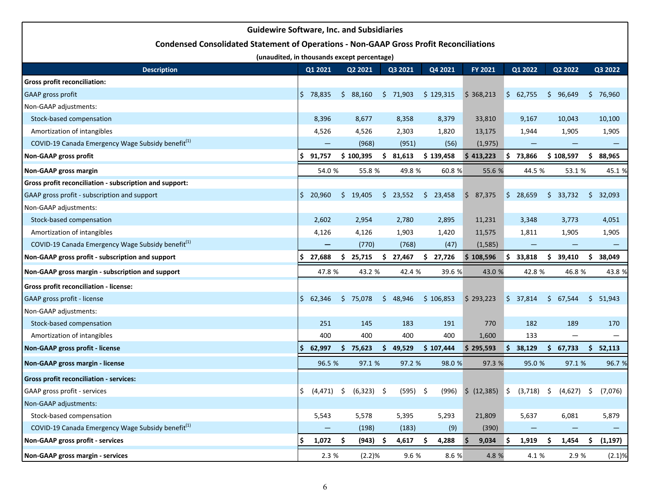| <b>Guidewire Software, Inc. and Subsidiaries</b>                                              |     |                   |      |                                         |     |          |    |           |    |           |    |                      |     |                                                              |     |                   |
|-----------------------------------------------------------------------------------------------|-----|-------------------|------|-----------------------------------------|-----|----------|----|-----------|----|-----------|----|----------------------|-----|--------------------------------------------------------------|-----|-------------------|
| <b>Condensed Consolidated Statement of Operations - Non-GAAP Gross Profit Reconciliations</b> |     |                   |      |                                         |     |          |    |           |    |           |    |                      |     |                                                              |     |                   |
| (unaudited, in thousands except percentage)                                                   |     |                   |      |                                         |     |          |    |           |    |           |    |                      |     |                                                              |     |                   |
| <b>Description</b>                                                                            |     | Q1 2021           |      | Q2 2021                                 |     | Q3 2021  |    | Q4 2021   |    | FY 2021   |    | Q1 2022              |     | Q2 2022                                                      |     | Q3 2022           |
| <b>Gross profit reconciliation:</b>                                                           |     |                   |      |                                         |     |          |    |           |    |           |    |                      |     |                                                              |     |                   |
| <b>GAAP</b> gross profit                                                                      | \$. | 78,835            | Ş.   | 88,160                                  |     | \$71,903 |    | \$129,315 |    | \$368,213 |    | \$62,755             | \$. | 96,649                                                       | \$. | 76,960            |
| Non-GAAP adjustments:                                                                         |     |                   |      |                                         |     |          |    |           |    |           |    |                      |     |                                                              |     |                   |
| Stock-based compensation                                                                      |     | 8,396             |      | 8,677                                   |     | 8,358    |    | 8,379     |    | 33,810    |    | 9,167                |     | 10,043                                                       |     | 10,100            |
| Amortization of intangibles                                                                   |     | 4,526             |      | 4,526                                   |     | 2,303    |    | 1,820     |    | 13,175    |    | 1,944                |     | 1,905                                                        |     | 1,905             |
| COVID-19 Canada Emergency Wage Subsidy benefit <sup>(1)</sup>                                 |     | $\qquad \qquad -$ |      | (968)                                   |     | (951)    |    | (56)      |    | (1, 975)  |    | $\qquad \qquad -$    |     | $\qquad \qquad$                                              |     | $\qquad \qquad -$ |
| <b>Non-GAAP gross profit</b>                                                                  |     | 91,757            |      | \$100,395                               | \$. | 81,613   |    | \$139,458 |    | \$413,223 |    | \$73,866             |     | \$108,597                                                    |     | \$88,965          |
| <b>Non-GAAP gross margin</b>                                                                  |     | 54.0 %            |      | 55.8 %                                  |     | 49.8 %   |    | 60.8 %    |    | 55.6 %    |    | 44.5 %               |     | 53.1 %                                                       |     | 45.1 %            |
| Gross profit reconciliation - subscription and support:                                       |     |                   |      |                                         |     |          |    |           |    |           |    |                      |     |                                                              |     |                   |
| GAAP gross profit - subscription and support                                                  | \$. | 20,960            |      | \$19,405                                | S.  | 23,552   |    | \$23,458  |    | \$7,375   |    | $\frac{1}{2}$ 28,659 | Ş.  | 33,732                                                       | S.  | 32,093            |
| Non-GAAP adjustments:                                                                         |     |                   |      |                                         |     |          |    |           |    |           |    |                      |     |                                                              |     |                   |
| Stock-based compensation                                                                      |     | 2,602             |      | 2,954                                   |     | 2,780    |    | 2,895     |    | 11,231    |    | 3,348                |     | 3,773                                                        |     | 4,051             |
| Amortization of intangibles                                                                   |     | 4,126             |      | 4,126                                   |     | 1,903    |    | 1,420     |    | 11,575    |    | 1,811                |     | 1,905                                                        |     | 1,905             |
| COVID-19 Canada Emergency Wage Subsidy benefit <sup>(1)</sup>                                 |     |                   |      | (770)                                   |     | (768)    |    | (47)      |    | (1,585)   |    |                      |     |                                                              |     |                   |
| Non-GAAP gross profit - subscription and support                                              |     | 27,688            | \$   | 25,715                                  | S   | 27,467   | \$ | 27,726    |    | \$108,596 |    | \$33,818             | S.  | 39,410                                                       | S.  | 38,049            |
| Non-GAAP gross margin - subscription and support                                              |     | 47.8 %            |      | 43.2 %                                  |     | 42.4 %   |    | 39.6 %    |    | 43.0 %    |    | 42.8 %               |     | 46.8 %                                                       |     | 43.8 %            |
| <b>Gross profit reconciliation - license:</b>                                                 |     |                   |      |                                         |     |          |    |           |    |           |    |                      |     |                                                              |     |                   |
| GAAP gross profit - license                                                                   | \$  | 62,346            | \$   | 75,078                                  |     | \$48,946 |    | \$106,853 |    | \$293,223 |    | \$37,814             | S.  | 67,544                                                       | S.  | 51,943            |
| Non-GAAP adjustments:                                                                         |     |                   |      |                                         |     |          |    |           |    |           |    |                      |     |                                                              |     |                   |
| Stock-based compensation                                                                      |     | 251               |      | 145                                     |     | 183      |    | 191       |    | 770       |    | 182                  |     | 189                                                          |     | 170               |
| Amortization of intangibles                                                                   |     | 400               |      | 400                                     |     | 400      |    | 400       |    | 1,600     |    | 133                  |     | $\overline{\phantom{m}}$                                     |     |                   |
| Non-GAAP gross profit - license                                                               | \$. | 62,997            | \$.  | 75,623                                  | S.  | 49,529   |    | \$107,444 |    | \$295,593 |    | \$38,129             |     | \$67,733                                                     |     | \$52,113          |
| Non-GAAP gross margin - license                                                               |     | 96.5 %            |      | 97.1 %                                  |     | 97.2 %   |    | 98.0 %    |    | 97.3 %    |    | 95.0%                |     | 97.1 %                                                       |     | 96.7 %            |
| <b>Gross profit reconciliation - services:</b>                                                |     |                   |      |                                         |     |          |    |           |    |           |    |                      |     |                                                              |     |                   |
| GAAP gross profit - services                                                                  |     |                   |      | $\zeta$ (4,471) $\zeta$ (6,323) $\zeta$ |     | (595) \$ |    |           |    |           |    |                      |     | $(996)$ \$ $(12,385)$ \$ $(3,718)$ \$ $(4,627)$ \$ $(7,076)$ |     |                   |
| Non-GAAP adjustments:                                                                         |     |                   |      |                                         |     |          |    |           |    |           |    |                      |     |                                                              |     |                   |
| Stock-based compensation                                                                      |     | 5,543             |      | 5,578                                   |     | 5,395    |    | 5,293     |    | 21,809    |    | 5,637                |     | 6,081                                                        |     | 5,879             |
| COVID-19 Canada Emergency Wage Subsidy benefit <sup>(1)</sup>                                 |     |                   |      | (198)                                   |     | (183)    |    | (9)       |    | (390)     |    |                      |     |                                                              |     |                   |
| Non-GAAP gross profit - services                                                              |     | 1,072             | - \$ | $(943)$ \$                              |     | 4,617    | \$ | 4,288     | \$ | 9,034     | \$ | 1,919                | \$  | 1,454                                                        | \$. | (1, 197)          |
| Non-GAAP gross margin - services                                                              |     | 2.3 %             |      | (2.2)%                                  |     | 9.6 %    |    | 8.6 %     |    | 4.8 %     |    | 4.1 %                |     | 2.9 %                                                        |     | (2.1)%            |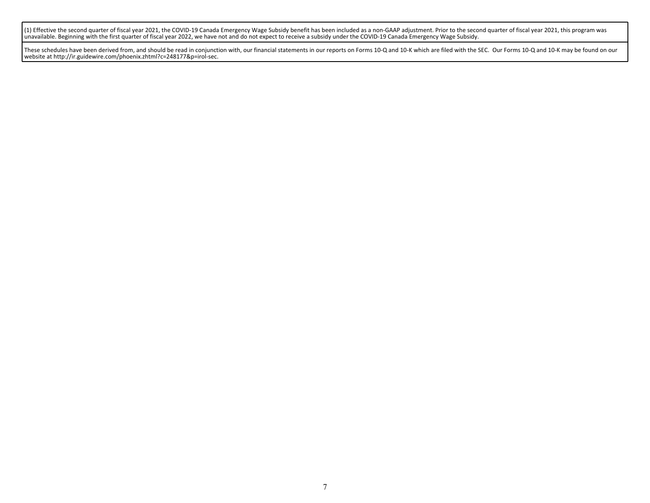(1) Effective the second quarter of fiscal year 2021, the COVID-19 Canada Emergency Wage Subsidy benefit has been included as a non-GAAP adjustment. Prior to the second quarter of fiscal year 2021, this program was unavailable. Beginning with the first quarter of fiscal year 2022, we have not and do not expect to receive a subsidy under the COVID-19 Canada Emergency Wage Subsidy.

These schedules have been derived from, and should be read in conjunction with, our financial statements in our reports on Forms 10-Q and 10-K which are filed with the SEC. Our Forms 10-Q and 10-K may be found on our website at http://ir.guidewire.com/phoenix.zhtml?c=248177&p=irol-sec.